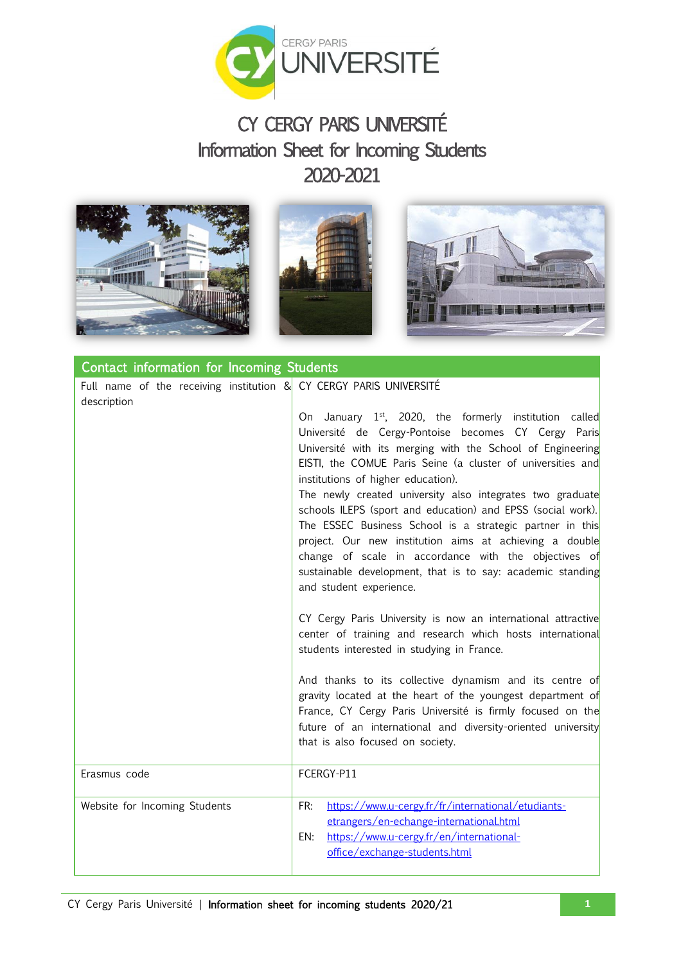

## CY CERGY PARIS UNIVERSITÉ Information Sheet for Incoming Students 2020-2021



| Contact information for Incoming Students                                         |                                                                                                                                                                                                                                                                                                                                                                                                                                                                                                                                                                                                                                                                                        |
|-----------------------------------------------------------------------------------|----------------------------------------------------------------------------------------------------------------------------------------------------------------------------------------------------------------------------------------------------------------------------------------------------------------------------------------------------------------------------------------------------------------------------------------------------------------------------------------------------------------------------------------------------------------------------------------------------------------------------------------------------------------------------------------|
| Full name of the receiving institution & CY CERGY PARIS UNIVERSITÉ<br>description |                                                                                                                                                                                                                                                                                                                                                                                                                                                                                                                                                                                                                                                                                        |
|                                                                                   | On January $1st$ , 2020, the formerly institution called<br>Université de Cergy-Pontoise becomes CY Cergy Paris<br>Université with its merging with the School of Engineering<br>EISTI, the COMUE Paris Seine (a cluster of universities and<br>institutions of higher education).<br>The newly created university also integrates two graduate<br>schools ILEPS (sport and education) and EPSS (social work).<br>The ESSEC Business School is a strategic partner in this<br>project. Our new institution aims at achieving a double<br>change of scale in accordance with the objectives of<br>sustainable development, that is to say: academic standing<br>and student experience. |
|                                                                                   | CY Cergy Paris University is now an international attractive<br>center of training and research which hosts international<br>students interested in studying in France.                                                                                                                                                                                                                                                                                                                                                                                                                                                                                                                |
|                                                                                   | And thanks to its collective dynamism and its centre of<br>gravity located at the heart of the youngest department of<br>France, CY Cergy Paris Université is firmly focused on the<br>future of an international and diversity-oriented university<br>that is also focused on society.                                                                                                                                                                                                                                                                                                                                                                                                |
| Erasmus code                                                                      | FCERGY-P11                                                                                                                                                                                                                                                                                                                                                                                                                                                                                                                                                                                                                                                                             |
| Website for Incoming Students                                                     | https://www.u-cergy.fr/fr/international/etudiants-<br>FR:<br>etrangers/en-echange-international.html<br>https://www.u-cergy.fr/en/international-<br>EN:<br>office/exchange-students.html                                                                                                                                                                                                                                                                                                                                                                                                                                                                                               |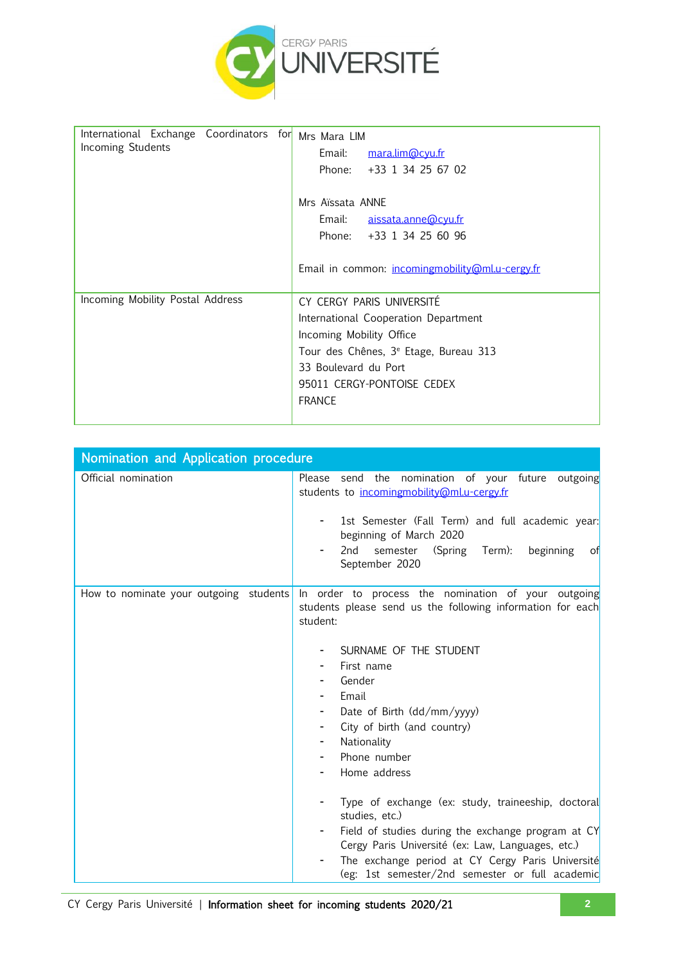

| International Exchange Coordinators for<br>Incoming Students | Mrs Mara LIM<br>Email:<br>mara.lim@cyu.fr<br>+33 1 34 25 67 02<br>Phone: |
|--------------------------------------------------------------|--------------------------------------------------------------------------|
|                                                              | Mrs Aïssata ANNE                                                         |
|                                                              | Email: aissata.anne@cyu.fr                                               |
|                                                              | Phone: +33 1 34 25 60 96                                                 |
|                                                              | Email in common: incomingmobility@ml.u-cergy.fr                          |
| Incoming Mobility Postal Address                             | CY CERGY PARIS UNIVERSITÉ                                                |
|                                                              | International Cooperation Department                                     |
|                                                              | Incoming Mobility Office                                                 |
|                                                              | Tour des Chênes, 3 <sup>e</sup> Etage, Bureau 313                        |
|                                                              | 33 Boulevard du Port                                                     |
|                                                              | 95011 CERGY-PONTOISE CEDEX                                               |
|                                                              | <b>FRANCE</b>                                                            |
|                                                              |                                                                          |

| Nomination and Application procedure   |                                                                                                                                                                                                                                                                                        |  |
|----------------------------------------|----------------------------------------------------------------------------------------------------------------------------------------------------------------------------------------------------------------------------------------------------------------------------------------|--|
| Official nomination                    | Please<br>the nomination of your future outgoing<br>send<br>students to incomingmobility@ml.u-cergy.fr<br>1st Semester (Fall Term) and full academic year:<br>beginning of March 2020<br>2 <sub>nd</sub><br>semester<br>(Spring<br>Term):<br>beginning<br>01<br>September 2020         |  |
| How to nominate your outgoing students | In order to process the nomination of your outgoing<br>students please send us the following information for each<br>student:                                                                                                                                                          |  |
|                                        | SURNAME OF THE STUDENT<br>First name<br>Gender<br>Email<br>Date of Birth (dd/mm/yyyy)<br>City of birth (and country)<br>Nationality<br>Phone number<br>Home address                                                                                                                    |  |
|                                        | Type of exchange (ex: study, traineeship, doctoral<br>studies, etc.)<br>Field of studies during the exchange program at CY<br>Cergy Paris Université (ex: Law, Languages, etc.)<br>The exchange period at CY Cergy Paris Université<br>(eg: 1st semester/2nd semester or full academic |  |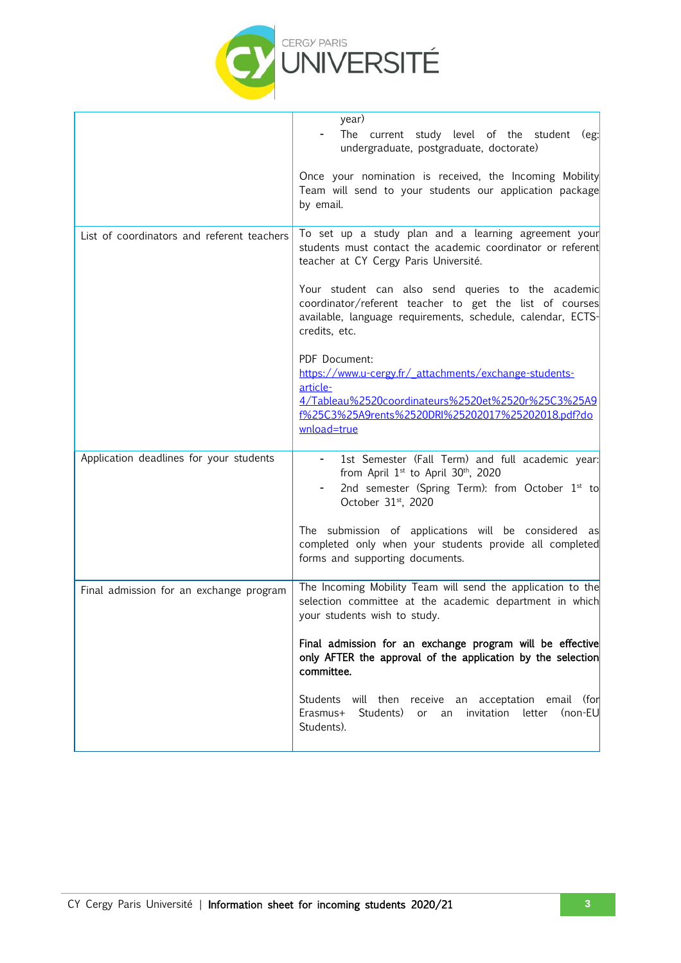

|                                            | year)<br>The current study level of the student (eg:<br>undergraduate, postgraduate, doctorate)                                                                                               |
|--------------------------------------------|-----------------------------------------------------------------------------------------------------------------------------------------------------------------------------------------------|
|                                            | Once your nomination is received, the Incoming Mobility<br>Team will send to your students our application package<br>by email.                                                               |
| List of coordinators and referent teachers | To set up a study plan and a learning agreement your<br>students must contact the academic coordinator or referent<br>teacher at CY Cergy Paris Université.                                   |
|                                            | Your student can also send queries to the academic<br>coordinator/referent teacher to get the list of courses<br>available, language requirements, schedule, calendar, ECTS-<br>credits, etc. |
|                                            | PDF Document:<br>https://www.u-cergy.fr/_attachments/exchange-students-<br>article-<br>4/Tableau%2520coordinateurs%2520et%2520r%25C3%25A9                                                     |
|                                            | f%25C3%25A9rents%2520DRI%25202017%25202018.pdf?do<br>wnload=true                                                                                                                              |
| Application deadlines for your students    | 1st Semester (Fall Term) and full academic year:<br>from April 1st to April 30th, 2020<br>2nd semester (Spring Term): from October 1st to                                                     |
|                                            | October 31 <sup>st</sup> , 2020                                                                                                                                                               |
|                                            | The submission of applications will be considered as<br>completed only when your students provide all completed<br>forms and supporting documents.                                            |
| Final admission for an exchange program    | The Incoming Mobility Team will send the application to the<br>selection committee at the academic department in which<br>your students wish to study.                                        |
|                                            | Final admission for an exchange program will be effective<br>only AFTER the approval of the application by the selection<br>committee.                                                        |
|                                            | Students will then receive an acceptation email (for<br>Students)<br>Erasmus+<br>invitation<br>letter<br>(non-EU<br><b>or</b><br>an<br>Students).                                             |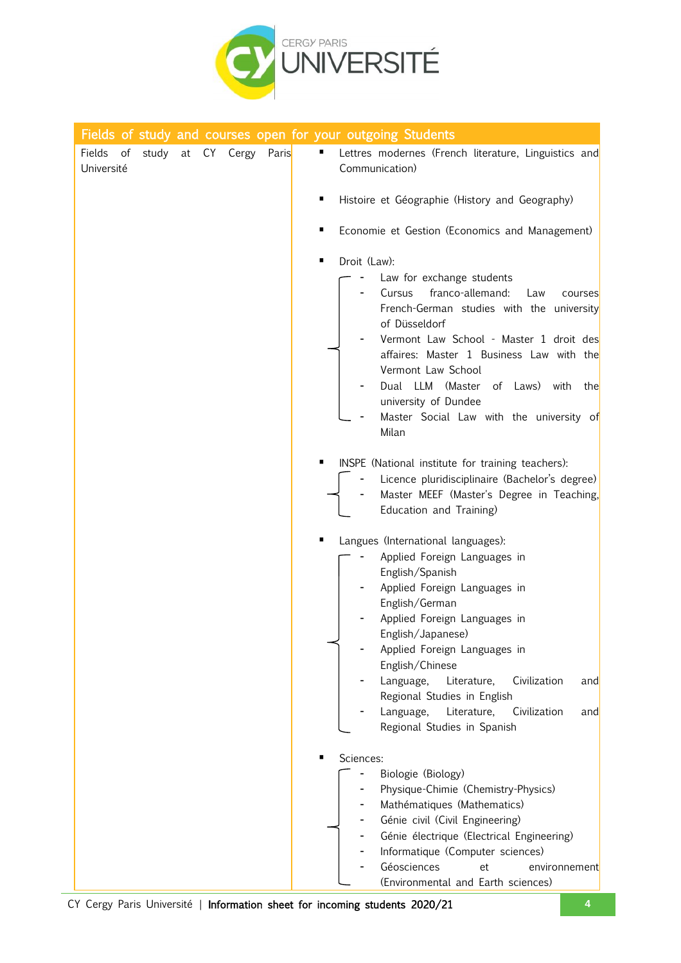

| Fields of study and courses open for your outgoing Students |       |                                                                                                                                                                                                                                                                                                                                                                                                                     |
|-------------------------------------------------------------|-------|---------------------------------------------------------------------------------------------------------------------------------------------------------------------------------------------------------------------------------------------------------------------------------------------------------------------------------------------------------------------------------------------------------------------|
| Cergy<br>study<br>at CY<br>Fields<br>of<br>Université       | Paris | Lettres modernes (French literature, Linguistics and<br>Communication)                                                                                                                                                                                                                                                                                                                                              |
|                                                             |       | Histoire et Géographie (History and Geography)                                                                                                                                                                                                                                                                                                                                                                      |
|                                                             |       | Economie et Gestion (Economics and Management)                                                                                                                                                                                                                                                                                                                                                                      |
|                                                             |       | Droit (Law):<br>Law for exchange students<br>franco-allemand:<br>Cursus<br>Law<br>courses<br>French-German studies with the university<br>of Düsseldorf<br>Vermont Law School - Master 1 droit des<br>affaires: Master 1 Business Law with the<br>Vermont Law School<br>Dual LLM (Master<br>of Laws)<br>with<br>the<br>university of Dundee                                                                         |
|                                                             |       | Master Social Law with the university of<br>Milan                                                                                                                                                                                                                                                                                                                                                                   |
|                                                             |       | INSPE (National institute for training teachers):<br>Licence pluridisciplinaire (Bachelor's degree)<br>Master MEEF (Master's Degree in Teaching,<br>Education and Training)                                                                                                                                                                                                                                         |
|                                                             |       | Langues (International languages):<br>Applied Foreign Languages in<br>English/Spanish<br>Applied Foreign Languages in<br>English/German<br>Applied Foreign Languages in<br>English/Japanese)<br>Applied Foreign Languages in<br>English/Chinese<br>Language,<br>Literature,<br>Civilization<br>and<br>Regional Studies in English<br>Literature,<br>Language,<br>Civilization<br>and<br>Regional Studies in Spanish |
|                                                             |       | Sciences:<br>Biologie (Biology)<br>Physique-Chimie (Chemistry-Physics)<br>Mathématiques (Mathematics)<br>Génie civil (Civil Engineering)<br>Génie électrique (Electrical Engineering)                                                                                                                                                                                                                               |
|                                                             |       | Informatique (Computer sciences)<br>Géosciences<br>et<br>environnement<br>(Environmental and Earth sciences)                                                                                                                                                                                                                                                                                                        |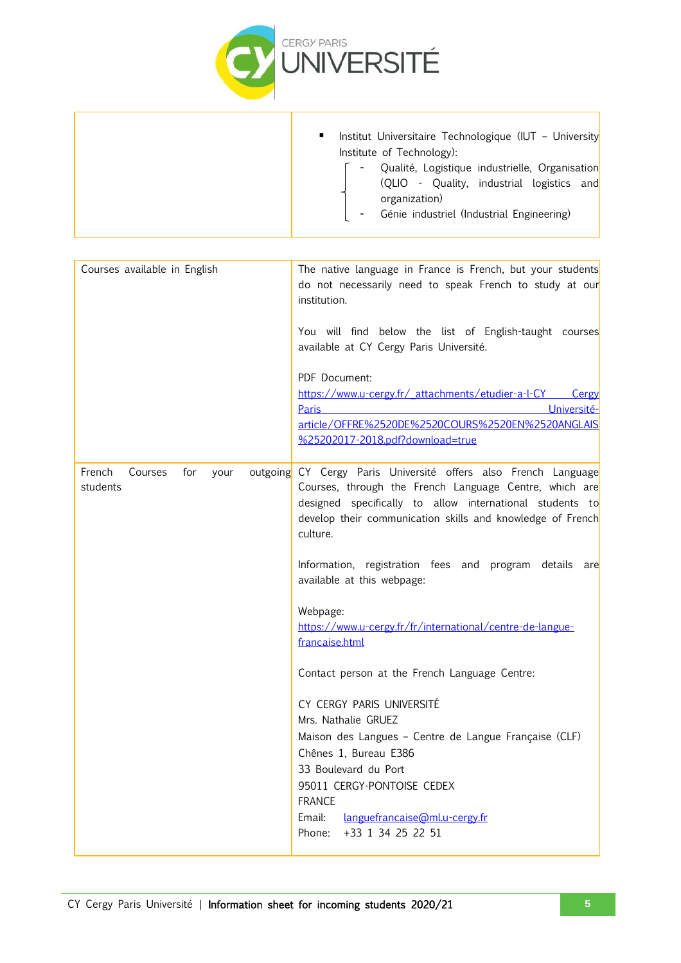

| Institut Universitaire Technologique (IUT - University<br>Institute of Technology):<br>Qualité, Logistique industrielle, Organisation<br>(QLIO - Quality, industrial logistics and<br>organization)<br>Génie industriel (Industrial Engineering) |
|--------------------------------------------------------------------------------------------------------------------------------------------------------------------------------------------------------------------------------------------------|
|--------------------------------------------------------------------------------------------------------------------------------------------------------------------------------------------------------------------------------------------------|

| Courses available in English                 | The native language in France is French, but your students<br>do not necessarily need to speak French to study at our<br>institution.<br>You will find below the list of English-taught courses<br>available at CY Cergy Paris Université.<br>PDF Document:<br>https://www.u-cergy.fr/_attachments/etudier-a-l-CY                          Cergy<br>Université-<br><b>Paris</b> |
|----------------------------------------------|---------------------------------------------------------------------------------------------------------------------------------------------------------------------------------------------------------------------------------------------------------------------------------------------------------------------------------------------------------------------------------|
|                                              | article/OFFRE%2520DE%2520COURS%2520EN%2520ANGLAIS<br>%25202017-2018.pdf?download=true                                                                                                                                                                                                                                                                                           |
| French<br>Courses<br>for<br>your<br>students | outgoing CY Cergy Paris Université offers also French Language<br>Courses, through the French Language Centre, which are<br>designed specifically to allow international students to<br>develop their communication skills and knowledge of French<br>culture.                                                                                                                  |
|                                              | Information, registration fees and program details are<br>available at this webpage:                                                                                                                                                                                                                                                                                            |
|                                              | Webpage:<br>https://www.u-cergy.fr/fr/international/centre-de-langue-<br>francaise.html                                                                                                                                                                                                                                                                                         |
|                                              | Contact person at the French Language Centre:                                                                                                                                                                                                                                                                                                                                   |
|                                              | CY CERGY PARIS UNIVERSITÉ<br>Mrs. Nathalie GRUEZ                                                                                                                                                                                                                                                                                                                                |
|                                              | Maison des Langues - Centre de Langue Française (CLF)<br>Chênes 1, Bureau E386<br>33 Boulevard du Port<br>95011 CERGY-PONTOISE CEDEX<br><b>FRANCE</b><br>Email:<br>languefrancaise@ml.u-cergy.fr                                                                                                                                                                                |
|                                              | Phone:<br>+33 1 34 25 22 51                                                                                                                                                                                                                                                                                                                                                     |